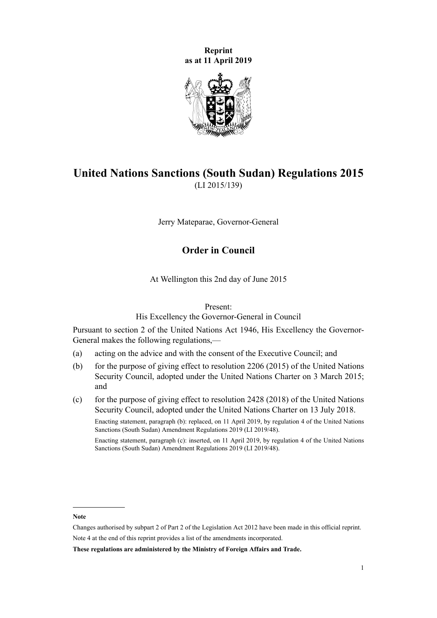**Reprint as at 11 April 2019**



# **United Nations Sanctions (South Sudan) Regulations 2015** (LI 2015/139)

Jerry Mateparae, Governor-General

# **Order in Council**

At Wellington this 2nd day of June 2015

#### Present:

His Excellency the Governor-General in Council

Pursuant to [section 2](http://legislation.govt.nz/pdflink.aspx?id=DLM240510) of the [United Nations Act 1946,](http://legislation.govt.nz/pdflink.aspx?id=DLM240501) His Excellency the Governor-General makes the following regulations,—

- (a) acting on the advice and with the consent of the Executive Council; and
- (b) for the purpose of giving effect to resolution 2206 (2015) of the United Nations Security Council, adopted under the United Nations Charter on 3 March 2015; and
- (c) for the purpose of giving effect to resolution  $2428$  (2018) of the United Nations Security Council, adopted under the United Nations Charter on 13 July 2018.

Enacting statement, paragraph (b): replaced, on 11 April 2019, by [regulation 4](http://legislation.govt.nz/pdflink.aspx?id=LMS163568) of the United Nations Sanctions (South Sudan) Amendment Regulations 2019 (LI 2019/48).

Enacting statement, paragraph (c): inserted, on 11 April 2019, by [regulation 4](http://legislation.govt.nz/pdflink.aspx?id=LMS163568) of the United Nations Sanctions (South Sudan) Amendment Regulations 2019 (LI 2019/48).

**Note**

Changes authorised by [subpart 2](http://legislation.govt.nz/pdflink.aspx?id=DLM2998524) of Part 2 of the Legislation Act 2012 have been made in this official reprint. Note 4 at the end of this reprint provides a list of the amendments incorporated.

**These regulations are administered by the Ministry of Foreign Affairs and Trade.**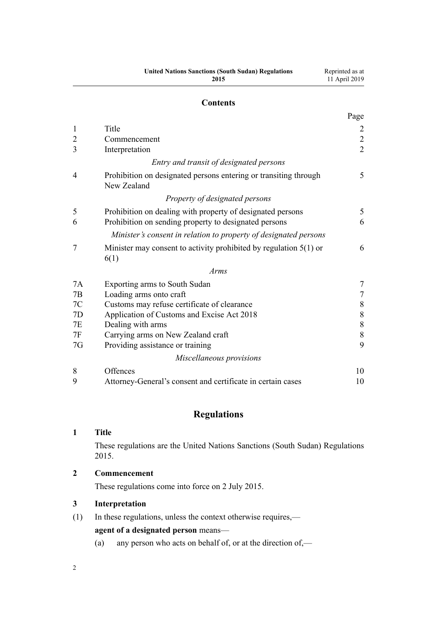| <b>United Nations Sanctions (South Sudan) Regulations</b> |  |
|-----------------------------------------------------------|--|
| 2015                                                      |  |

# **Contents**

|                |                                                                                 | Page          |
|----------------|---------------------------------------------------------------------------------|---------------|
| $\mathbf{1}$   | Title                                                                           | 2             |
| $\overline{c}$ | Commencement                                                                    |               |
| 3              | Interpretation                                                                  | $\frac{2}{2}$ |
|                | Entry and transit of designated persons                                         |               |
| 4              | Prohibition on designated persons entering or transiting through<br>New Zealand | 5             |
|                | Property of designated persons                                                  |               |
| 5              | Prohibition on dealing with property of designated persons                      | 5             |
| 6              | Prohibition on sending property to designated persons                           | 6             |
|                | Minister's consent in relation to property of designated persons                |               |
| 7              | Minister may consent to activity prohibited by regulation $5(1)$ or<br>6(1)     | 6             |
|                | Arms                                                                            |               |
| 7A             | Exporting arms to South Sudan                                                   | 7             |
| 7B             | Loading arms onto craft                                                         | $\tau$        |
| 7C             | Customs may refuse certificate of clearance                                     | $\,8\,$       |
| 7D             | Application of Customs and Excise Act 2018                                      | $\,$ $\,$     |
| 7E             | Dealing with arms                                                               | $8\,$         |
| 7F             | Carrying arms on New Zealand craft                                              | $\,8\,$       |
| 7G             | Providing assistance or training                                                | 9             |
|                | Miscellaneous provisions                                                        |               |
| 8              | Offences                                                                        | 10            |
| 9              | Attorney-General's consent and certificate in certain cases                     | 10            |

# **Regulations**

# **1 Title**

These regulations are the United Nations Sanctions (South Sudan) Regulations 2015.

# **2 Commencement**

These regulations come into force on 2 July 2015.

# **3 Interpretation**

(1) In these regulations, unless the context otherwise requires,—

**agent of a designated person** means—

(a) any person who acts on behalf of, or at the direction of  $\frac{1}{2}$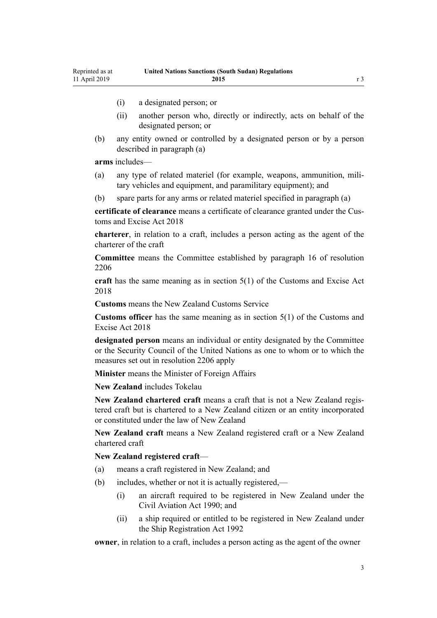- (i) a designated person; or
- (ii) another person who, directly or indirectly, acts on behalf of the designated person; or
- (b) any entity owned or controlled by a designated person or by a person described in paragraph (a)

**arms** includes—

- (a) any type of related materiel (for example, weapons, ammunition, military vehicles and equipment, and paramilitary equipment); and
- (b) spare parts for any arms or related materiel specified in paragraph (a)

**certificate of clearance** means a certificate of clearance granted under the [Cus](http://legislation.govt.nz/pdflink.aspx?id=DLM7038920)[toms and Excise Act 2018](http://legislation.govt.nz/pdflink.aspx?id=DLM7038920)

**charterer**, in relation to a craft, includes a person acting as the agent of the charterer of the craft

**Committee** means the Committee established by paragraph 16 of resolution 2206

**craft** has the same meaning as in [section 5\(1\)](http://legislation.govt.nz/pdflink.aspx?id=DLM7038971) of the Customs and Excise Act 2018

**Customs** means the New Zealand Customs Service

**Customs officer** has the same meaning as in [section 5\(1\)](http://legislation.govt.nz/pdflink.aspx?id=DLM7038971) of the Customs and Excise Act 2018

**designated person** means an individual or entity designated by the Committee or the Security Council of the United Nations as one to whom or to which the measures set out in resolution 2206 apply

**Minister** means the Minister of Foreign Affairs

**New Zealand** includes Tokelau

**New Zealand chartered craft** means a craft that is not a New Zealand registered craft but is chartered to a New Zealand citizen or an entity incorporated or constituted under the law of New Zealand

**New Zealand craft** means a New Zealand registered craft or a New Zealand chartered craft

**New Zealand registered craft**—

- (a) means a craft registered in New Zealand; and
- (b) includes, whether or not it is actually registered,—
	- (i) an aircraft required to be registered in New Zealand under the [Civil Aviation Act 1990;](http://legislation.govt.nz/pdflink.aspx?id=DLM214686) and
	- (ii) a ship required or entitled to be registered in New Zealand under the [Ship Registration Act 1992](http://legislation.govt.nz/pdflink.aspx?id=DLM275026)

**owner**, in relation to a craft, includes a person acting as the agent of the owner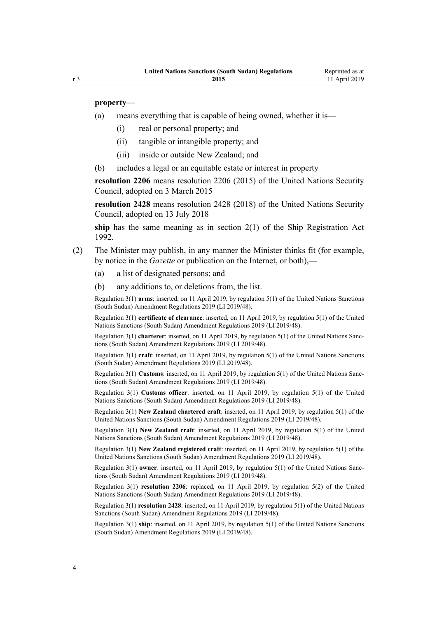#### **property**—

- (a) means everything that is capable of being owned, whether it is—
	- (i) real or personal property; and
	- (ii) tangible or intangible property; and
	- (iii) inside or outside New Zealand; and
- (b) includes a legal or an equitable estate or interest in property

**resolution 2206** means resolution 2206 (2015) of the United Nations Security Council, adopted on 3 March 2015

**resolution 2428** means resolution 2428 (2018) of the United Nations Security Council, adopted on 13 July 2018

**ship** has the same meaning as in [section 2\(1\)](http://legislation.govt.nz/pdflink.aspx?id=DLM275032) of the Ship Registration Act 1992.

- (2) The Minister may publish, in any manner the Minister thinks fit (for example, by notice in the *Gazette* or publication on the Internet, or both),—
	- (a) a list of designated persons; and
	- (b) any additions to, or deletions from, the list.

Regulation 3(1) **arms**: inserted, on 11 April 2019, by [regulation 5\(1\)](http://legislation.govt.nz/pdflink.aspx?id=LMS163596) of the United Nations Sanctions (South Sudan) Amendment Regulations 2019 (LI 2019/48).

Regulation 3(1) **certificate of clearance**: inserted, on 11 April 2019, by [regulation 5\(1\)](http://legislation.govt.nz/pdflink.aspx?id=LMS163596) of the United Nations Sanctions (South Sudan) Amendment Regulations 2019 (LI 2019/48).

Regulation 3(1) **charterer**: inserted, on 11 April 2019, by [regulation 5\(1\)](http://legislation.govt.nz/pdflink.aspx?id=LMS163596) of the United Nations Sanctions (South Sudan) Amendment Regulations 2019 (LI 2019/48).

Regulation 3(1) **craft**: inserted, on 11 April 2019, by [regulation 5\(1\)](http://legislation.govt.nz/pdflink.aspx?id=LMS163596) of the United Nations Sanctions (South Sudan) Amendment Regulations 2019 (LI 2019/48).

Regulation 3(1) **Customs**: inserted, on 11 April 2019, by [regulation 5\(1\)](http://legislation.govt.nz/pdflink.aspx?id=LMS163596) of the United Nations Sanctions (South Sudan) Amendment Regulations 2019 (LI 2019/48).

Regulation 3(1) **Customs officer**: inserted, on 11 April 2019, by [regulation 5\(1\)](http://legislation.govt.nz/pdflink.aspx?id=LMS163596) of the United Nations Sanctions (South Sudan) Amendment Regulations 2019 (LI 2019/48).

Regulation 3(1) **New Zealand chartered craft**: inserted, on 11 April 2019, by [regulation 5\(1\)](http://legislation.govt.nz/pdflink.aspx?id=LMS163596) of the United Nations Sanctions (South Sudan) Amendment Regulations 2019 (LI 2019/48).

Regulation 3(1) **New Zealand craft**: inserted, on 11 April 2019, by [regulation 5\(1\)](http://legislation.govt.nz/pdflink.aspx?id=LMS163596) of the United Nations Sanctions (South Sudan) Amendment Regulations 2019 (LI 2019/48).

Regulation 3(1) **New Zealand registered craft**: inserted, on 11 April 2019, by [regulation 5\(1\)](http://legislation.govt.nz/pdflink.aspx?id=LMS163596) of the United Nations Sanctions (South Sudan) Amendment Regulations 2019 (LI 2019/48).

Regulation 3(1) **owner**: inserted, on 11 April 2019, by [regulation 5\(1\)](http://legislation.govt.nz/pdflink.aspx?id=LMS163596) of the United Nations Sanctions (South Sudan) Amendment Regulations 2019 (LI 2019/48).

Regulation 3(1) **resolution 2206**: replaced, on 11 April 2019, by [regulation 5\(2\)](http://legislation.govt.nz/pdflink.aspx?id=LMS163596) of the United Nations Sanctions (South Sudan) Amendment Regulations 2019 (LI 2019/48).

Regulation 3(1) **resolution 2428**: inserted, on 11 April 2019, by [regulation 5\(1\)](http://legislation.govt.nz/pdflink.aspx?id=LMS163596) of the United Nations Sanctions (South Sudan) Amendment Regulations 2019 (LI 2019/48).

Regulation 3(1) **ship**: inserted, on 11 April 2019, by [regulation 5\(1\)](http://legislation.govt.nz/pdflink.aspx?id=LMS163596) of the United Nations Sanctions (South Sudan) Amendment Regulations 2019 (LI 2019/48).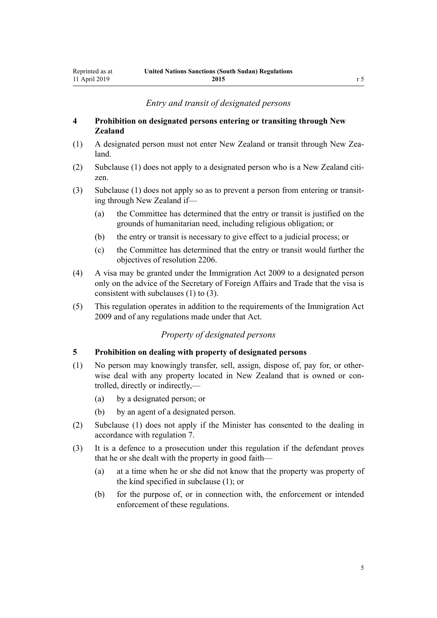# *Entry and transit of designated persons*

## <span id="page-4-0"></span>**4 Prohibition on designated persons entering or transiting through New Zealand**

- (1) A designated person must not enter New Zealand or transit through New Zealand.
- (2) Subclause (1) does not apply to a designated person who is a New Zealand citizen.
- (3) Subclause (1) does not apply so as to prevent a person from entering or transiting through New Zealand if—
	- (a) the Committee has determined that the entry or transit is justified on the grounds of humanitarian need, including religious obligation; or
	- (b) the entry or transit is necessary to give effect to a judicial process; or
	- (c) the Committee has determined that the entry or transit would further the objectives of resolution 2206.
- (4) A visa may be granted under the [Immigration Act 2009](http://legislation.govt.nz/pdflink.aspx?id=DLM1440300) to a designated person only on the advice of the Secretary of Foreign Affairs and Trade that the visa is consistent with subclauses (1) to (3).
- (5) This regulation operates in addition to the requirements of the [Immigration Act](http://legislation.govt.nz/pdflink.aspx?id=DLM1440300) [2009](http://legislation.govt.nz/pdflink.aspx?id=DLM1440300) and of any regulations made under that Act.

# *Property of designated persons*

## **5 Prohibition on dealing with property of designated persons**

- (1) No person may knowingly transfer, sell, assign, dispose of, pay for, or otherwise deal with any property located in New Zealand that is owned or controlled, directly or indirectly,—
	- (a) by a designated person; or
	- (b) by an agent of a designated person.
- (2) Subclause (1) does not apply if the Minister has consented to the dealing in accordance with [regulation 7](#page-5-0).
- (3) It is a defence to a prosecution under this regulation if the defendant proves that he or she dealt with the property in good faith—
	- (a) at a time when he or she did not know that the property was property of the kind specified in subclause (1); or
	- (b) for the purpose of, or in connection with, the enforcement or intended enforcement of these regulations.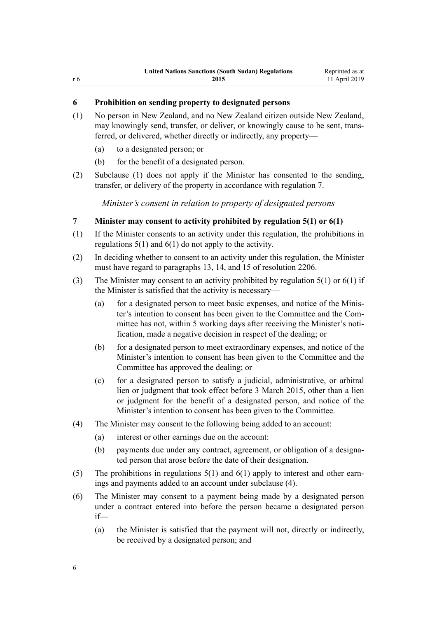# <span id="page-5-0"></span>**6 Prohibition on sending property to designated persons**

- (1) No person in New Zealand, and no New Zealand citizen outside New Zealand, may knowingly send, transfer, or deliver, or knowingly cause to be sent, transferred, or delivered, whether directly or indirectly, any property—
	- (a) to a designated person; or
	- (b) for the benefit of a designated person.
- (2) Subclause (1) does not apply if the Minister has consented to the sending, transfer, or delivery of the property in accordance with regulation 7.

*Minister's consent in relation to property of designated persons*

# **7 Minister may consent to activity prohibited by regulation 5(1) or 6(1)**

- (1) If the Minister consents to an activity under this regulation, the prohibitions in regulations  $5(1)$  and  $6(1)$  do not apply to the activity.
- (2) In deciding whether to consent to an activity under this regulation, the Minister must have regard to paragraphs 13, 14, and 15 of resolution 2206.
- (3) The Minister may consent to an activity prohibited by [regulation 5\(1\)](#page-4-0) or 6(1) if the Minister is satisfied that the activity is necessary—
	- (a) for a designated person to meet basic expenses, and notice of the Minister's intention to consent has been given to the Committee and the Committee has not, within 5 working days after receiving the Minister's notification, made a negative decision in respect of the dealing; or
	- (b) for a designated person to meet extraordinary expenses, and notice of the Minister's intention to consent has been given to the Committee and the Committee has approved the dealing; or
	- (c) for a designated person to satisfy a judicial, administrative, or arbitral lien or judgment that took effect before 3 March 2015, other than a lien or judgment for the benefit of a designated person, and notice of the Minister's intention to consent has been given to the Committee.
- (4) The Minister may consent to the following being added to an account:
	- (a) interest or other earnings due on the account:
	- (b) payments due under any contract, agreement, or obligation of a designated person that arose before the date of their designation.
- (5) The prohibitions in [regulations 5\(1\)](#page-4-0) and 6(1) apply to interest and other earnings and payments added to an account under subclause (4).
- (6) The Minister may consent to a payment being made by a designated person under a contract entered into before the person became a designated person if—
	- (a) the Minister is satisfied that the payment will not, directly or indirectly, be received by a designated person; and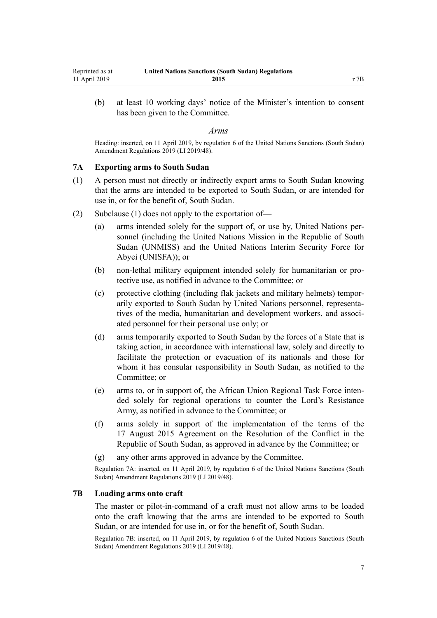<span id="page-6-0"></span>(b) at least 10 working days' notice of the Minister's intention to consent has been given to the Committee.

#### *Arms*

Heading: inserted, on 11 April 2019, by [regulation 6](http://legislation.govt.nz/pdflink.aspx?id=LMS163606) of the United Nations Sanctions (South Sudan) Amendment Regulations 2019 (LI 2019/48).

#### **7A Exporting arms to South Sudan**

- (1) A person must not directly or indirectly export arms to South Sudan knowing that the arms are intended to be exported to South Sudan, or are intended for use in, or for the benefit of, South Sudan.
- (2) Subclause (1) does not apply to the exportation of—
	- (a) arms intended solely for the support of, or use by, United Nations personnel (including the United Nations Mission in the Republic of South Sudan (UNMISS) and the United Nations Interim Security Force for Abyei (UNISFA)); or
	- (b) non-lethal military equipment intended solely for humanitarian or protective use, as notified in advance to the Committee; or
	- (c) protective clothing (including flak jackets and military helmets) temporarily exported to South Sudan by United Nations personnel, representatives of the media, humanitarian and development workers, and associated personnel for their personal use only; or
	- (d) arms temporarily exported to South Sudan by the forces of a State that is taking action, in accordance with international law, solely and directly to facilitate the protection or evacuation of its nationals and those for whom it has consular responsibility in South Sudan, as notified to the Committee; or
	- (e) arms to, or in support of, the African Union Regional Task Force intended solely for regional operations to counter the Lord's Resistance Army, as notified in advance to the Committee; or
	- (f) arms solely in support of the implementation of the terms of the 17 August 2015 Agreement on the Resolution of the Conflict in the Republic of South Sudan, as approved in advance by the Committee; or
	- (g) any other arms approved in advance by the Committee.

Regulation 7A: inserted, on 11 April 2019, by [regulation 6](http://legislation.govt.nz/pdflink.aspx?id=LMS163606) of the United Nations Sanctions (South Sudan) Amendment Regulations 2019 (LI 2019/48).

#### **7B Loading arms onto craft**

The master or pilot-in-command of a craft must not allow arms to be loaded onto the craft knowing that the arms are intended to be exported to South Sudan, or are intended for use in, or for the benefit of, South Sudan.

Regulation 7B: inserted, on 11 April 2019, by [regulation 6](http://legislation.govt.nz/pdflink.aspx?id=LMS163606) of the United Nations Sanctions (South Sudan) Amendment Regulations 2019 (LI 2019/48).

7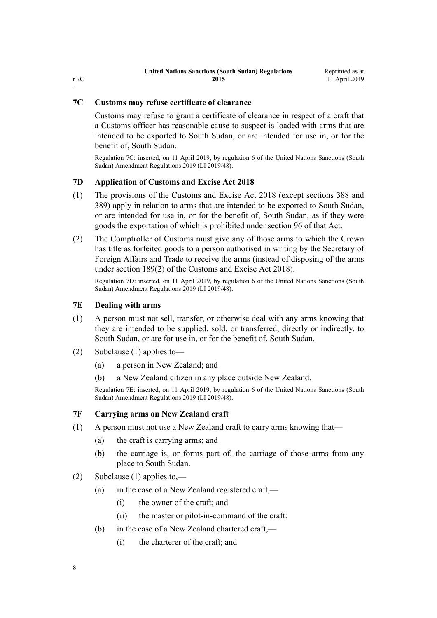# <span id="page-7-0"></span>**7C Customs may refuse certificate of clearance**

Customs may refuse to grant a certificate of clearance in respect of a craft that a Customs officer has reasonable cause to suspect is loaded with arms that are intended to be exported to South Sudan, or are intended for use in, or for the benefit of, South Sudan.

Regulation 7C: inserted, on 11 April 2019, by [regulation 6](http://legislation.govt.nz/pdflink.aspx?id=LMS163606) of the United Nations Sanctions (South Sudan) Amendment Regulations 2019 (LI 2019/48).

#### **7D Application of Customs and Excise Act 2018**

- (1) The provisions of the [Customs and Excise Act 2018](http://legislation.govt.nz/pdflink.aspx?id=DLM7038920) (except [sections 388](http://legislation.govt.nz/pdflink.aspx?id=DLM7039857) and [389](http://legislation.govt.nz/pdflink.aspx?id=DLM7039858)) apply in relation to arms that are intended to be exported to South Sudan, or are intended for use in, or for the benefit of, South Sudan, as if they were goods the exportation of which is prohibited under [section 96](http://legislation.govt.nz/pdflink.aspx?id=DLM7039309) of that Act.
- (2) The Comptroller of Customs must give any of those arms to which the Crown has title as forfeited goods to a person authorised in writing by the Secretary of Foreign Affairs and Trade to receive the arms (instead of disposing of the arms under [section 189\(2\)](http://legislation.govt.nz/pdflink.aspx?id=DLM7039445) of the Customs and Excise Act 2018).

Regulation 7D: inserted, on 11 April 2019, by [regulation 6](http://legislation.govt.nz/pdflink.aspx?id=LMS163606) of the United Nations Sanctions (South Sudan) Amendment Regulations 2019 (LI 2019/48).

## **7E Dealing with arms**

- (1) A person must not sell, transfer, or otherwise deal with any arms knowing that they are intended to be supplied, sold, or transferred, directly or indirectly, to South Sudan, or are for use in, or for the benefit of, South Sudan.
- (2) Subclause (1) applies to—
	- (a) a person in New Zealand; and
	- (b) a New Zealand citizen in any place outside New Zealand.

Regulation 7E: inserted, on 11 April 2019, by [regulation 6](http://legislation.govt.nz/pdflink.aspx?id=LMS163606) of the United Nations Sanctions (South Sudan) Amendment Regulations 2019 (LI 2019/48).

#### **7F Carrying arms on New Zealand craft**

- (1) A person must not use a New Zealand craft to carry arms knowing that—
	- (a) the craft is carrying arms; and
	- (b) the carriage is, or forms part of, the carriage of those arms from any place to South Sudan.
- (2) Subclause (1) applies to,—
	- (a) in the case of a New Zealand registered craft,—
		- (i) the owner of the craft; and
		- (ii) the master or pilot-in-command of the craft:
	- (b) in the case of a New Zealand chartered craft,—
		- (i) the charterer of the craft; and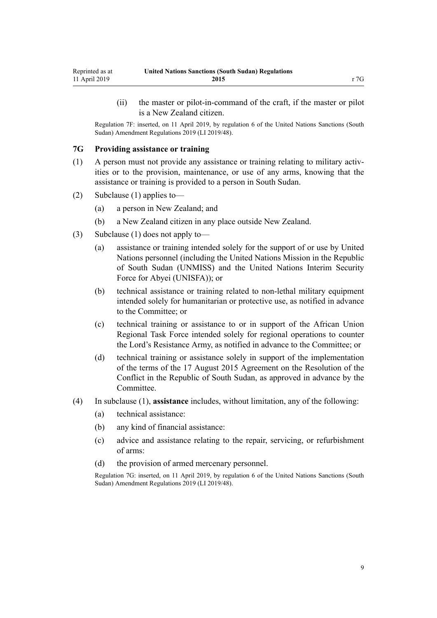<span id="page-8-0"></span>(ii) the master or pilot-in-command of the craft, if the master or pilot is a New Zealand citizen.

Regulation 7F: inserted, on 11 April 2019, by [regulation 6](http://legislation.govt.nz/pdflink.aspx?id=LMS163606) of the United Nations Sanctions (South Sudan) Amendment Regulations 2019 (LI 2019/48).

## **7G Providing assistance or training**

- (1) A person must not provide any assistance or training relating to military activities or to the provision, maintenance, or use of any arms, knowing that the assistance or training is provided to a person in South Sudan.
- (2) Subclause (1) applies to—
	- (a) a person in New Zealand; and
	- (b) a New Zealand citizen in any place outside New Zealand.
- (3) Subclause (1) does not apply to—
	- (a) assistance or training intended solely for the support of or use by United Nations personnel (including the United Nations Mission in the Republic of South Sudan (UNMISS) and the United Nations Interim Security Force for Abyei (UNISFA)); or
	- (b) technical assistance or training related to non-lethal military equipment intended solely for humanitarian or protective use, as notified in advance to the Committee; or
	- (c) technical training or assistance to or in support of the African Union Regional Task Force intended solely for regional operations to counter the Lord's Resistance Army, as notified in advance to the Committee; or
	- (d) technical training or assistance solely in support of the implementation of the terms of the 17 August 2015 Agreement on the Resolution of the Conflict in the Republic of South Sudan, as approved in advance by the Committee.
- (4) In subclause (1), **assistance** includes, without limitation, any of the following:
	- (a) technical assistance:
	- (b) any kind of financial assistance:
	- (c) advice and assistance relating to the repair, servicing, or refurbishment of arms:
	- (d) the provision of armed mercenary personnel.

Regulation 7G: inserted, on 11 April 2019, by [regulation 6](http://legislation.govt.nz/pdflink.aspx?id=LMS163606) of the United Nations Sanctions (South Sudan) Amendment Regulations 2019 (LI 2019/48).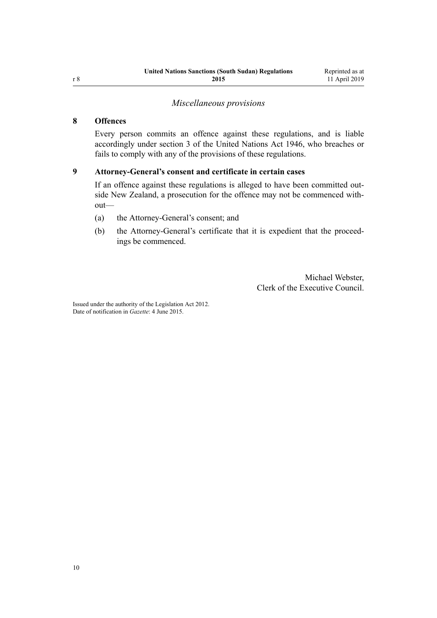# *Miscellaneous provisions*

# <span id="page-9-0"></span>**8 Offences**

Every person commits an offence against these regulations, and is liable accordingly under [section 3](http://legislation.govt.nz/pdflink.aspx?id=DLM240511) of the United Nations Act 1946, who breaches or fails to comply with any of the provisions of these regulations.

### **9 Attorney-General's consent and certificate in certain cases**

If an offence against these regulations is alleged to have been committed outside New Zealand, a prosecution for the offence may not be commenced without—

- (a) the Attorney-General's consent; and
- (b) the Attorney-General's certificate that it is expedient that the proceedings be commenced.

Michael Webster, Clerk of the Executive Council.

Issued under the authority of the [Legislation Act 2012](http://legislation.govt.nz/pdflink.aspx?id=DLM2997643). Date of notification in *Gazette*: 4 June 2015.